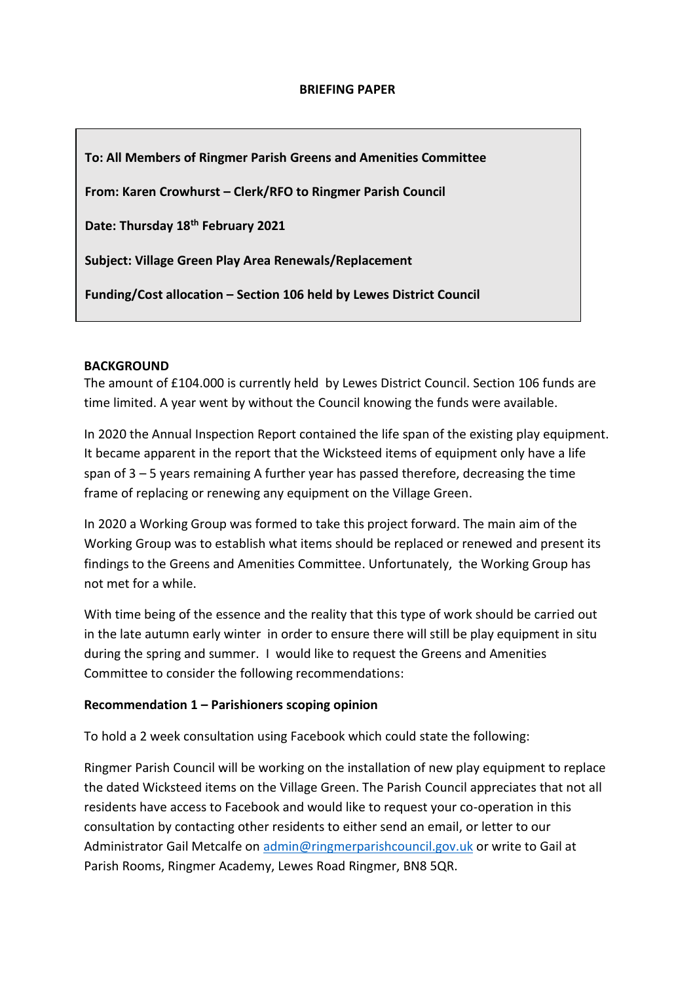**To: All Members of Ringmer Parish Greens and Amenities Committee**

**From: Karen Crowhurst – Clerk/RFO to Ringmer Parish Council**

**Date: Thursday 18th February 2021**

**Subject: Village Green Play Area Renewals/Replacement**

**Funding/Cost allocation – Section 106 held by Lewes District Council**

### **BACKGROUND**

The amount of £104.000 is currently held by Lewes District Council. Section 106 funds are time limited. A year went by without the Council knowing the funds were available.

In 2020 the Annual Inspection Report contained the life span of the existing play equipment. It became apparent in the report that the Wicksteed items of equipment only have a life span of 3 – 5 years remaining A further year has passed therefore, decreasing the time frame of replacing or renewing any equipment on the Village Green.

In 2020 a Working Group was formed to take this project forward. The main aim of the Working Group was to establish what items should be replaced or renewed and present its findings to the Greens and Amenities Committee. Unfortunately, the Working Group has not met for a while.

With time being of the essence and the reality that this type of work should be carried out in the late autumn early winter in order to ensure there will still be play equipment in situ during the spring and summer. I would like to request the Greens and Amenities Committee to consider the following recommendations:

### **Recommendation 1 – Parishioners scoping opinion**

To hold a 2 week consultation using Facebook which could state the following:

Ringmer Parish Council will be working on the installation of new play equipment to replace the dated Wicksteed items on the Village Green. The Parish Council appreciates that not all residents have access to Facebook and would like to request your co-operation in this consultation by contacting other residents to either send an email, or letter to our Administrator Gail Metcalfe on [admin@ringmerparishcouncil.gov.uk](mailto:admin@ringmerparishcouncil.gov.uk) or write to Gail at Parish Rooms, Ringmer Academy, Lewes Road Ringmer, BN8 5QR.